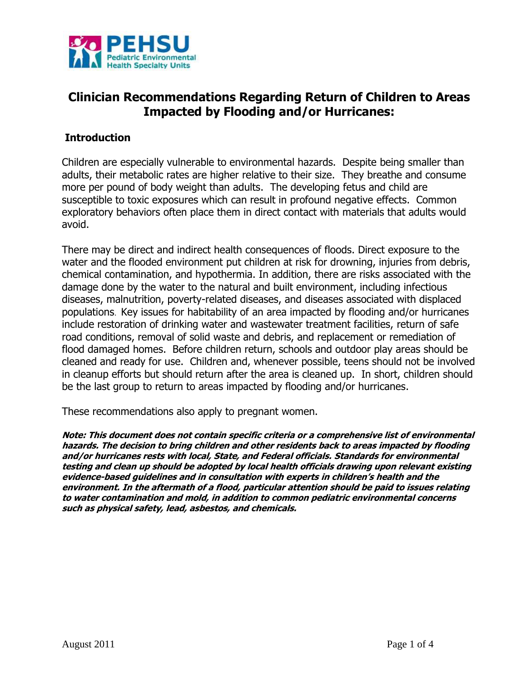

# **Clinician Recommendations Regarding Return of Children to Areas Impacted by Flooding and/or Hurricanes:**

#### **Introduction**

Children are especially vulnerable to environmental hazards. Despite being smaller than adults, their metabolic rates are higher relative to their size. They breathe and consume more per pound of body weight than adults. The developing fetus and child are susceptible to toxic exposures which can result in profound negative effects. Common exploratory behaviors often place them in direct contact with materials that adults would avoid.

There may be direct and indirect health consequences of floods. Direct exposure to the water and the flooded environment put children at risk for drowning, injuries from debris, chemical contamination, and hypothermia. In addition, there are risks associated with the damage done by the water to the natural and built environment, including infectious diseases, malnutrition, poverty-related diseases, and diseases associated with displaced populations. Key issues for habitability of an area impacted by flooding and/or hurricanes include restoration of drinking water and wastewater treatment facilities, return of safe road conditions, removal of solid waste and debris, and replacement or remediation of flood damaged homes. Before children return, schools and outdoor play areas should be cleaned and ready for use. Children and, whenever possible, teens should not be involved in cleanup efforts but should return after the area is cleaned up. In short, children should be the last group to return to areas impacted by flooding and/or hurricanes.

These recommendations also apply to pregnant women.

**Note: This document does not contain specific criteria or a comprehensive list of environmental hazards. The decision to bring children and other residents back to areas impacted by flooding and/or hurricanes rests with local, State, and Federal officials. Standards for environmental testing and clean up should be adopted by local health officials drawing upon relevant existing evidence-based guidelines and in consultation with experts in children's health and the environment. In the aftermath of a flood, particular attention should be paid to issues relating to water contamination and mold, in addition to common pediatric environmental concerns such as physical safety, lead, asbestos, and chemicals.**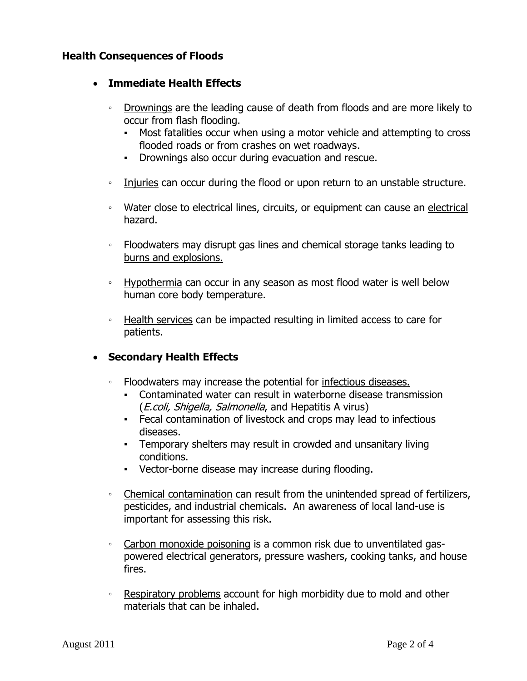#### **Health Consequences of Floods**

#### **Immediate Health Effects**

- Drownings are the leading cause of death from floods and are more likely to occur from flash flooding.
	- Most fatalities occur when using a motor vehicle and attempting to cross flooded roads or from crashes on wet roadways.
	- Drownings also occur during evacuation and rescue.
- Injuries can occur during the flood or upon return to an unstable structure.
- Water close to electrical lines, circuits, or equipment can cause an electrical hazard.
- Floodwaters may disrupt gas lines and chemical storage tanks leading to burns and explosions.
- Hypothermia can occur in any season as most flood water is well below human core body temperature.
- Health services can be impacted resulting in limited access to care for patients.

## **Secondary Health Effects**

- Floodwaters may increase the potential for infectious diseases.
	- Contaminated water can result in waterborne disease transmission (*E.coli, Shigella, Salmonella*, and Hepatitis A virus)
	- Fecal contamination of livestock and crops may lead to infectious diseases.
	- Temporary shelters may result in crowded and unsanitary living conditions.
	- Vector-borne disease may increase during flooding.
- Chemical contamination can result from the unintended spread of fertilizers, pesticides, and industrial chemicals. An awareness of local land-use is important for assessing this risk.
- Carbon monoxide poisoning is a common risk due to unventilated gaspowered electrical generators, pressure washers, cooking tanks, and house fires.
- Respiratory problems account for high morbidity due to mold and other materials that can be inhaled.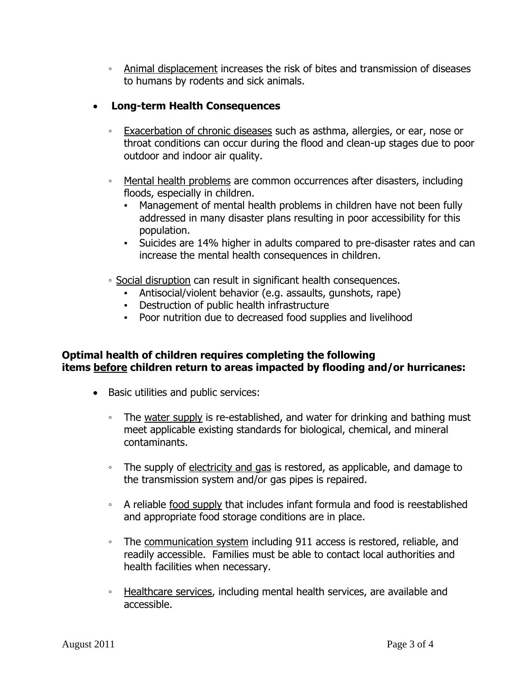◦ Animal displacement increases the risk of bites and transmission of diseases to humans by rodents and sick animals.

## **Long-term Health Consequences**

- Exacerbation of chronic diseases such as asthma, allergies, or ear, nose or throat conditions can occur during the flood and clean-up stages due to poor outdoor and indoor air quality.
- Mental health problems are common occurrences after disasters, including floods, especially in children.
	- Management of mental health problems in children have not been fully addressed in many disaster plans resulting in poor accessibility for this population.
	- Suicides are 14% higher in adults compared to pre-disaster rates and can increase the mental health consequences in children.
- Social disruption can result in significant health consequences.
	- Antisocial/violent behavior (e.g. assaults, gunshots, rape)
	- Destruction of public health infrastructure
	- Poor nutrition due to decreased food supplies and livelihood

### **Optimal health of children requires completing the following items before children return to areas impacted by flooding and/or hurricanes:**

- Basic utilities and public services:
	- The water supply is re-established, and water for drinking and bathing must meet applicable existing standards for biological, chemical, and mineral contaminants.
	- The supply of electricity and gas is restored, as applicable, and damage to the transmission system and/or gas pipes is repaired.
	- A reliable food supply that includes infant formula and food is reestablished and appropriate food storage conditions are in place.
	- The communication system including 911 access is restored, reliable, and readily accessible. Families must be able to contact local authorities and health facilities when necessary.
	- Healthcare services, including mental health services, are available and accessible.